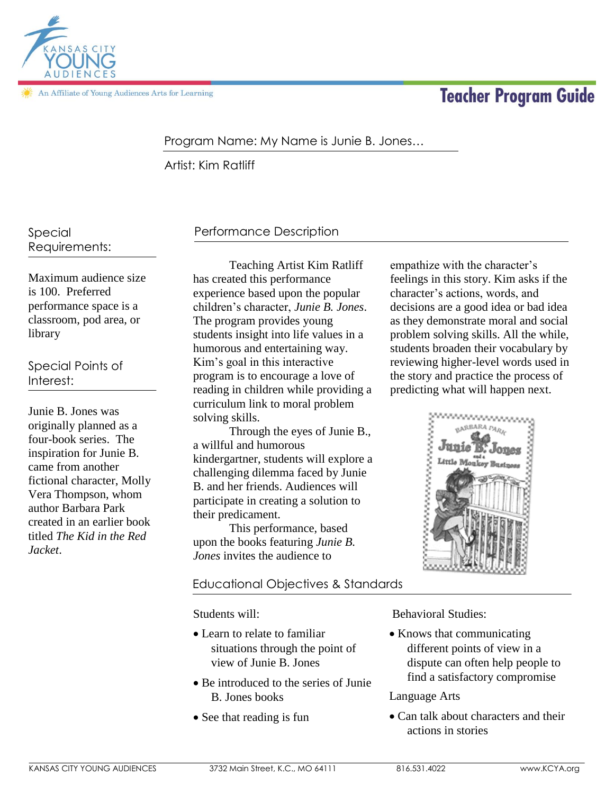

An Affiliate of Young Audiences Arts for Learning

# **Teacher Program Guide**

#### Program Name: My Name is Junie B. Jones…

Artist: Kim Ratliff

Special Requirements:

Maximum audience size is 100. Preferred performance space is a classroom, pod area, or library

Special Points of Interest:

Junie B. Jones was originally planned as a four-book series. The inspiration for Junie B. came from another fictional character, Molly Vera Thompson, whom author Barbara Park created in an earlier book titled *The Kid in the Red Jacket*.

## Performance Description

Teaching Artist Kim Ratliff has created this performance experience based upon the popular children's character, *Junie B. Jones*. The program provides young students insight into life values in a humorous and entertaining way. Kim's goal in this interactive program is to encourage a love of reading in children while providing a curriculum link to moral problem solving skills.

Through the eyes of Junie B., a willful and humorous kindergartner, students will explore a challenging dilemma faced by Junie B. and her friends. Audiences will participate in creating a solution to their predicament.

This performance, based upon the books featuring *Junie B. Jones* invites the audience to

#### Educational Objectives & Standards

Students will:

- Learn to relate to familiar situations through the point of view of Junie B. Jones
- Be introduced to the series of Junie B. Jones books
- See that reading is fun

empathize with the character's feelings in this story. Kim asks if the character's actions, words, and decisions are a good idea or bad idea as they demonstrate moral and social problem solving skills. All the while, students broaden their vocabulary by reviewing higher-level words used in the story and practice the process of predicting what will happen next.



Behavioral Studies:

• Knows that communicating different points of view in a dispute can often help people to find a satisfactory compromise

Language Arts

 Can talk about characters and their actions in stories